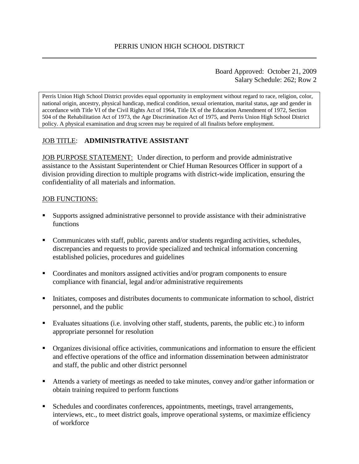Board Approved: October 21, 2009 Salary Schedule: 262; Row 2

Perris Union High School District provides equal opportunity in employment without regard to race, religion, color, national origin, ancestry, physical handicap, medical condition, sexual orientation, marital status, age and gender in accordance with Title VI of the Civil Rights Act of 1964, Title IX of the Education Amendment of 1972, Section 504 of the Rehabilitation Act of 1973, the Age Discrimination Act of 1975, and Perris Union High School District policy. A physical examination and drug screen may be required of all finalists before employment.

## JOB TITLE: **ADMINISTRATIVE ASSISTANT**

**JOB PURPOSE STATEMENT:** Under direction, to perform and provide administrative assistance to the Assistant Superintendent or Chief Human Resources Officer in support of a division providing direction to multiple programs with district-wide implication, ensuring the confidentiality of all materials and information.

#### JOB FUNCTIONS:

- Supports assigned administrative personnel to provide assistance with their administrative functions
- Communicates with staff, public, parents and/or students regarding activities, schedules, discrepancies and requests to provide specialized and technical information concerning established policies, procedures and guidelines
- Coordinates and monitors assigned activities and/or program components to ensure compliance with financial, legal and/or administrative requirements
- Initiates, composes and distributes documents to communicate information to school, district personnel, and the public
- Evaluates situations (i.e. involving other staff, students, parents, the public etc.) to inform appropriate personnel for resolution
- Organizes divisional office activities, communications and information to ensure the efficient and effective operations of the office and information dissemination between administrator and staff, the public and other district personnel
- Attends a variety of meetings as needed to take minutes, convey and/or gather information or obtain training required to perform functions
- Schedules and coordinates conferences, appointments, meetings, travel arrangements, interviews, etc., to meet district goals, improve operational systems, or maximize efficiency of workforce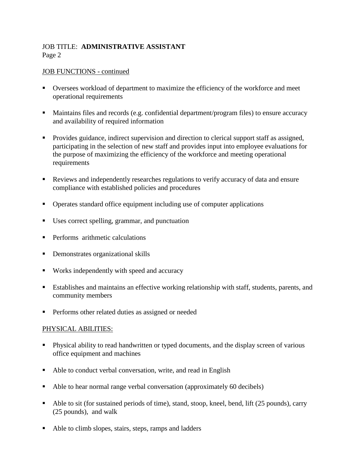# JOB TITLE: **ADMINISTRATIVE ASSISTANT** Page 2

## JOB FUNCTIONS - continued

- Oversees workload of department to maximize the efficiency of the workforce and meet operational requirements
- Maintains files and records (e.g. confidential department/program files) to ensure accuracy and availability of required information
- Provides guidance, indirect supervision and direction to clerical support staff as assigned, participating in the selection of new staff and provides input into employee evaluations for the purpose of maximizing the efficiency of the workforce and meeting operational requirements
- Reviews and independently researches regulations to verify accuracy of data and ensure compliance with established policies and procedures
- Operates standard office equipment including use of computer applications
- Uses correct spelling, grammar, and punctuation
- **Performs** arithmetic calculations
- Demonstrates organizational skills
- Works independently with speed and accuracy
- Establishes and maintains an effective working relationship with staff, students, parents, and community members
- **Performs other related duties as assigned or needed**

# PHYSICAL ABILITIES:

- Physical ability to read handwritten or typed documents, and the display screen of various office equipment and machines
- Able to conduct verbal conversation, write, and read in English
- Able to hear normal range verbal conversation (approximately 60 decibels)
- Able to sit (for sustained periods of time), stand, stoop, kneel, bend, lift (25 pounds), carry (25 pounds), and walk
- Able to climb slopes, stairs, steps, ramps and ladders